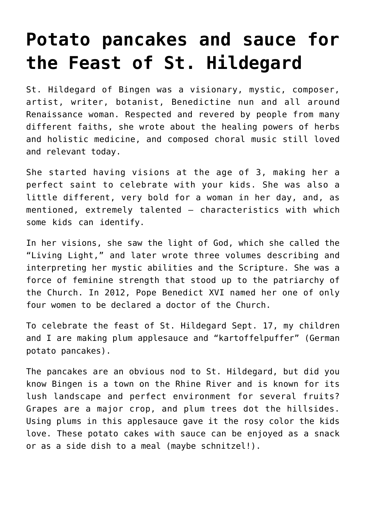# **[Potato pancakes and sauce for](https://www.teachingcatholickids.com/potato-pancakes-and-sauce-for-the-feast-of-st-hildegard/) [the Feast of St. Hildegard](https://www.teachingcatholickids.com/potato-pancakes-and-sauce-for-the-feast-of-st-hildegard/)**

St. Hildegard of Bingen was a visionary, mystic, composer, artist, writer, botanist, Benedictine nun and all around Renaissance woman. Respected and revered by people from many different faiths, she wrote about the healing powers of herbs and holistic medicine, and composed choral music still loved and relevant today.

She started having visions at the age of 3, making her a perfect saint to celebrate with your kids. She was also a little different, very bold for a woman in her day, and, as mentioned, extremely talented — characteristics with which some kids can identify.

In her visions, she saw the light of God, which she called the "Living Light," and later wrote three volumes describing and interpreting her mystic abilities and the Scripture. She was a force of feminine strength that stood up to the patriarchy of the Church. In 2012, Pope Benedict XVI named her one of only four women to be declared a doctor of the Church.

To celebrate the feast of St. Hildegard Sept. 17, my children and I are making plum applesauce and "kartoffelpuffer" (German potato pancakes).

The pancakes are an obvious nod to St. Hildegard, but did you know Bingen is a town on the Rhine River and is known for its lush landscape and perfect environment for several fruits? Grapes are a major crop, and plum trees dot the hillsides. Using plums in this applesauce gave it the rosy color the kids love. These potato cakes with sauce can be enjoyed as a snack or as a side dish to a meal (maybe schnitzel!).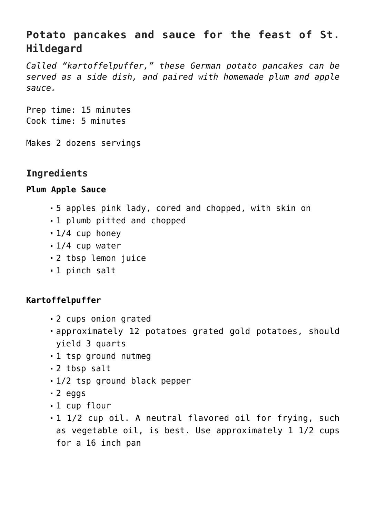# **Potato pancakes and sauce for the feast of St. Hildegard**

*Called "kartoffelpuffer," these German potato pancakes can be served as a side dish, and paired with homemade plum and apple sauce.*

Prep time: 15 minutes Cook time: 5 minutes

Makes 2 dozens servings

## **Ingredients**

#### **Plum Apple Sauce**

- 5 apples pink lady, cored and chopped, with skin on
- 1 plumb pitted and chopped
- 1/4 cup honey
- 1/4 cup water
- 2 tbsp lemon juice
- 1 pinch salt

#### **Kartoffelpuffer**

- 2 cups onion grated
- approximately 12 potatoes grated gold potatoes, should yield 3 quarts
- 1 tsp ground nutmeg
- 2 tbsp salt
- 1/2 tsp ground black pepper
- 2 eggs
- 1 cup flour
- 1 1/2 cup oil. A neutral flavored oil for frying, such as vegetable oil, is best. Use approximately 1 1/2 cups for a 16 inch pan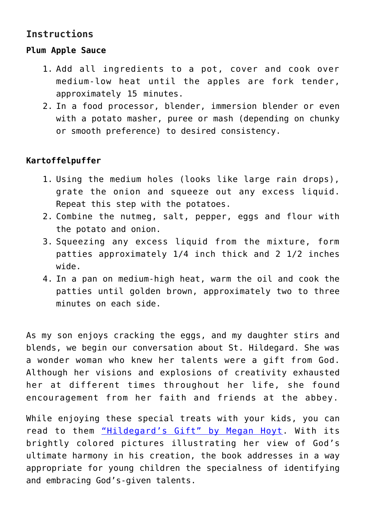# **Instructions**

#### **Plum Apple Sauce**

- 1. Add all ingredients to a pot, cover and cook over medium-low heat until the apples are fork tender, approximately 15 minutes.
- 2. In a food processor, blender, immersion blender or even with a potato masher, puree or mash (depending on chunky or smooth preference) to desired consistency.

### **Kartoffelpuffer**

- 1. Using the medium holes (looks like large rain drops), grate the onion and squeeze out any excess liquid. Repeat this step with the potatoes.
- 2. Combine the nutmeg, salt, pepper, eggs and flour with the potato and onion.
- 3. Squeezing any excess liquid from the mixture, form patties approximately 1/4 inch thick and 2 1/2 inches wide.
- 4. In a pan on medium-high heat, warm the oil and cook the patties until golden brown, approximately two to three minutes on each side.

As my son enjoys cracking the eggs, and my daughter stirs and blends, we begin our conversation about St. Hildegard. She was a wonder woman who knew her talents were a gift from God. Although her visions and explosions of creativity exhausted her at different times throughout her life, she found encouragement from her faith and friends at the abbey.

While enjoying these special treats with your kids, you can read to them ["Hildegard's Gift" by Megan Hoyt.](https://www.amazon.com/Hildegards-Gift-Megan-Hoyt/dp/1612613586/ref=sr_1_1?ie=UTF8&qid=1536617827&sr=8-1&keywords=hildegard%27s+gift) With its brightly colored pictures illustrating her view of God's ultimate harmony in his creation, the book addresses in a way appropriate for young children the specialness of identifying and embracing God's-given talents.